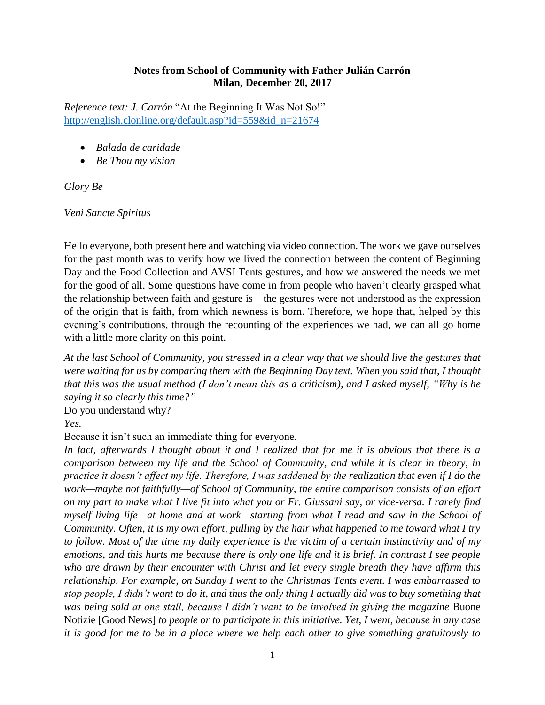## **Notes from School of Community with Father Julián Carrón Milan, December 20, 2017**

*Reference text: J. Carrón* "At the Beginning It Was Not So!" [http://english.clonline.org/default.asp?id=559&id\\_n=21674](http://english.clonline.org/default.asp?id=559&id_n=21674)

- *Balada de caridade*
- *Be Thou my vision*

*Glory Be*

*Veni Sancte Spiritus*

Hello everyone, both present here and watching via video connection. The work we gave ourselves for the past month was to verify how we lived the connection between the content of Beginning Day and the Food Collection and AVSI Tents gestures, and how we answered the needs we met for the good of all. Some questions have come in from people who haven't clearly grasped what the relationship between faith and gesture is—the gestures were not understood as the expression of the origin that is faith, from which newness is born. Therefore, we hope that, helped by this evening's contributions, through the recounting of the experiences we had, we can all go home with a little more clarity on this point.

*At the last School of Community, you stressed in a clear way that we should live the gestures that were waiting for us by comparing them with the Beginning Day text. When you said that, I thought that this was the usual method (I don't mean this as a criticism), and I asked myself, "Why is he saying it so clearly this time?"*

Do you understand why?

*Yes.*

Because it isn't such an immediate thing for everyone.

*In fact, afterwards I thought about it and I realized that for me it is obvious that there is a comparison between my life and the School of Community, and while it is clear in theory, in practice it doesn't affect my life. Therefore, I was saddened by the realization that even if I do the work—maybe not faithfully—of School of Community, the entire comparison consists of an effort on my part to make what I live fit into what you or Fr. Giussani say, or vice-versa. I rarely find myself living life—at home and at work—starting from what I read and saw in the School of Community. Often, it is my own effort, pulling by the hair what happened to me toward what I try to follow. Most of the time my daily experience is the victim of a certain instinctivity and of my emotions, and this hurts me because there is only one life and it is brief. In contrast I see people who are drawn by their encounter with Christ and let every single breath they have affirm this relationship. For example, on Sunday I went to the Christmas Tents event. I was embarrassed to stop people, I didn't want to do it, and thus the only thing I actually did was to buy something that was being sold at one stall, because I didn't want to be involved in giving the magazine* Buone Notizie [Good News] *to people or to participate in this initiative. Yet, I went, because in any case it is good for me to be in a place where we help each other to give something gratuitously to*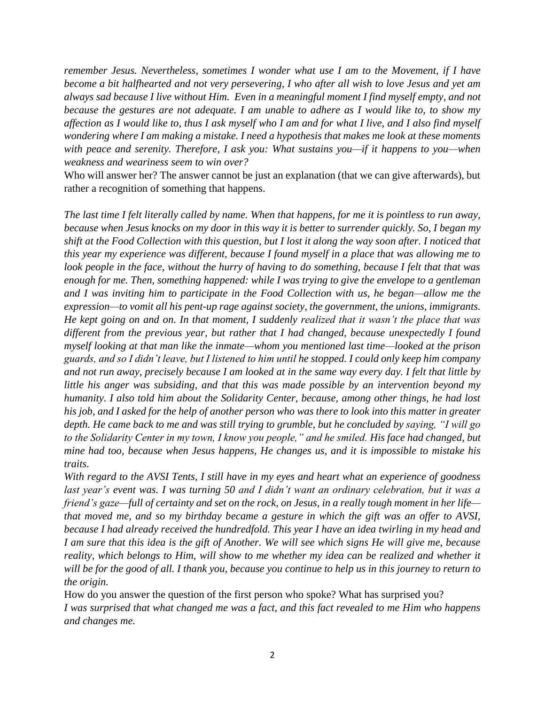*remember Jesus. Nevertheless, sometimes I wonder what use I am to the Movement, if I have become a bit halfhearted and not very persevering, I who after all wish to love Jesus and yet am always sad because I live without Him. Even in a meaningful moment I find myself empty, and not because the gestures are not adequate. I am unable to adhere as I would like to, to show my affection as I would like to, thus I ask myself who I am and for what I live, and I also find myself wondering where I am making a mistake. I need a hypothesis that makes me look at these moments with peace and serenity. Therefore, I ask you: What sustains you—if it happens to you—when weakness and weariness seem to win over?*

Who will answer her? The answer cannot be just an explanation (that we can give afterwards), but rather a recognition of something that happens.

*The last time I felt literally called by name. When that happens, for me it is pointless to run away, because when Jesus knocks on my door in this way it is better to surrender quickly. So, I began my shift at the Food Collection with this question, but I lost it along the way soon after. I noticed that this year my experience was different, because I found myself in a place that was allowing me to look people in the face, without the hurry of having to do something, because I felt that that was enough for me. Then, something happened: while I was trying to give the envelope to a gentleman and I was inviting him to participate in the Food Collection with us, he began—allow me the expression—to vomit all his pent-up rage against society, the government, the unions, immigrants. He kept going on and on. In that moment, I suddenly realized that it wasn't the place that was different from the previous year, but rather that I had changed, because unexpectedly I found myself looking at that man like the inmate—whom you mentioned last time—looked at the prison guards, and so I didn't leave, but I listened to him until he stopped. I could only keep him company and not run away, precisely because I am looked at in the same way every day. I felt that little by little his anger was subsiding, and that this was made possible by an intervention beyond my humanity. I also told him about the Solidarity Center, because, among other things, he had lost his job, and I asked for the help of another person who was there to look into this matter in greater depth. He came back to me and was still trying to grumble, but he concluded by saying, "I will go to the Solidarity Center in my town, I know you people," and he smiled. His face had changed, but mine had too, because when Jesus happens, He changes us, and it is impossible to mistake his traits.*

*With regard to the AVSI Tents, I still have in my eyes and heart what an experience of goodness last year's event was. I was turning 50 and I didn't want an ordinary celebration, but it was a friend's gaze—full of certainty and set on the rock, on Jesus, in a really tough moment in her life that moved me, and so my birthday became a gesture in which the gift was an offer to AVSI, because I had already received the hundredfold. This year I have an idea twirling in my head and I am sure that this idea is the gift of Another. We will see which signs He will give me, because reality, which belongs to Him, will show to me whether my idea can be realized and whether it will be for the good of all. I thank you, because you continue to help us in this journey to return to the origin.*

How do you answer the question of the first person who spoke? What has surprised you? *I was surprised that what changed me was a fact, and this fact revealed to me Him who happens and changes me.*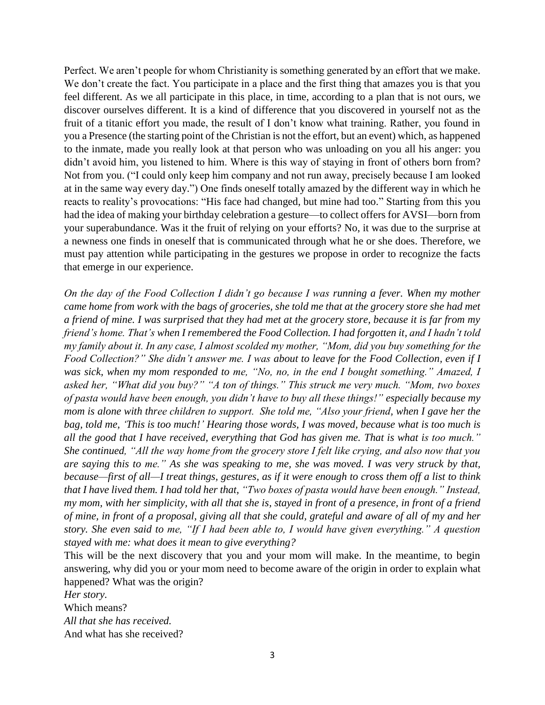Perfect. We aren't people for whom Christianity is something generated by an effort that we make. We don't create the fact. You participate in a place and the first thing that amazes you is that you feel different. As we all participate in this place, in time, according to a plan that is not ours, we discover ourselves different. It is a kind of difference that you discovered in yourself not as the fruit of a titanic effort you made, the result of I don't know what training. Rather, you found in you a Presence (the starting point of the Christian is not the effort, but an event) which, as happened to the inmate, made you really look at that person who was unloading on you all his anger: you didn't avoid him, you listened to him. Where is this way of staying in front of others born from? Not from you. ("I could only keep him company and not run away, precisely because I am looked at in the same way every day.") One finds oneself totally amazed by the different way in which he reacts to reality's provocations: "His face had changed, but mine had too." Starting from this you had the idea of making your birthday celebration a gesture—to collect offers for AVSI—born from your superabundance. Was it the fruit of relying on your efforts? No, it was due to the surprise at a newness one finds in oneself that is communicated through what he or she does. Therefore, we must pay attention while participating in the gestures we propose in order to recognize the facts that emerge in our experience.

*On the day of the Food Collection I didn't go because I was running a fever. When my mother came home from work with the bags of groceries, she told me that at the grocery store she had met a friend of mine. I was surprised that they had met at the grocery store, because it is far from my friend's home. That's when I remembered the Food Collection. I had forgotten it, and I hadn't told my family about it. In any case, I almost scolded my mother, "Mom, did you buy something for the Food Collection?" She didn't answer me. I was about to leave for the Food Collection, even if I was sick, when my mom responded to me, "No, no, in the end I bought something." Amazed, I asked her, "What did you buy?" "A ton of things." This struck me very much. "Mom, two boxes of pasta would have been enough, you didn't have to buy all these things!" especially because my mom is alone with three children to support. She told me, "Also your friend, when I gave her the bag, told me, 'This is too much!' Hearing those words, I was moved, because what is too much is all the good that I have received, everything that God has given me. That is what is too much." She continued, "All the way home from the grocery store I felt like crying, and also now that you are saying this to me." As she was speaking to me, she was moved. I was very struck by that, because—first of all—I treat things, gestures, as if it were enough to cross them off a list to think that I have lived them. I had told her that, "Two boxes of pasta would have been enough." Instead, my mom, with her simplicity, with all that she is, stayed in front of a presence, in front of a friend of mine, in front of a proposal, giving all that she could, grateful and aware of all of my and her story. She even said to me, "If I had been able to, I would have given everything." A question stayed with me: what does it mean to give everything?*

This will be the next discovery that you and your mom will make. In the meantime, to begin answering, why did you or your mom need to become aware of the origin in order to explain what happened? What was the origin?

*Her story.* Which means? *All that she has received.* And what has she received?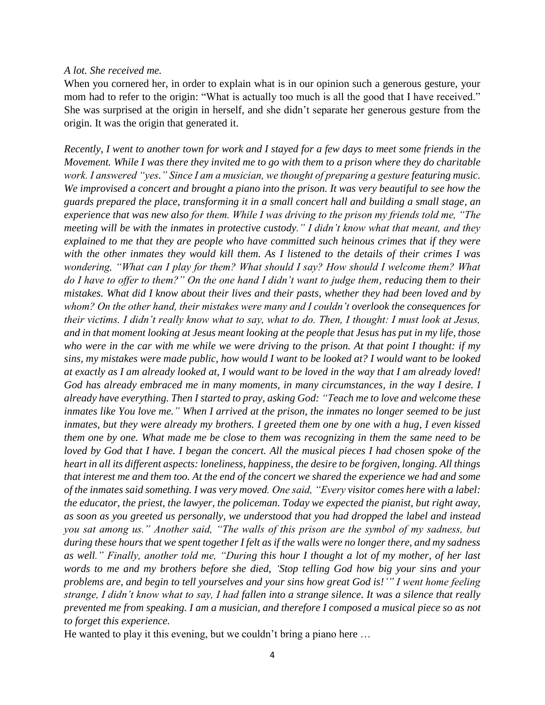## *A lot. She received me.*

When you cornered her, in order to explain what is in our opinion such a generous gesture, your mom had to refer to the origin: "What is actually too much is all the good that I have received." She was surprised at the origin in herself, and she didn't separate her generous gesture from the origin. It was the origin that generated it.

*Recently, I went to another town for work and I stayed for a few days to meet some friends in the Movement. While I was there they invited me to go with them to a prison where they do charitable work. I answered "yes." Since I am a musician, we thought of preparing a gesture featuring music. We improvised a concert and brought a piano into the prison. It was very beautiful to see how the guards prepared the place, transforming it in a small concert hall and building a small stage, an experience that was new also for them. While I was driving to the prison my friends told me, "The meeting will be with the inmates in protective custody." I didn't know what that meant, and they explained to me that they are people who have committed such heinous crimes that if they were with the other inmates they would kill them. As I listened to the details of their crimes I was wondering, "What can I play for them? What should I say? How should I welcome them? What do I have to offer to them?" On the one hand I didn't want to judge them, reducing them to their mistakes. What did I know about their lives and their pasts, whether they had been loved and by whom? On the other hand, their mistakes were many and I couldn't overlook the consequences for their victims. I didn't really know what to say, what to do. Then, I thought: I must look at Jesus, and in that moment looking at Jesus meant looking at the people that Jesus has put in my life, those who were in the car with me while we were driving to the prison. At that point I thought: if my sins, my mistakes were made public, how would I want to be looked at? I would want to be looked at exactly as I am already looked at, I would want to be loved in the way that I am already loved! God has already embraced me in many moments, in many circumstances, in the way I desire. I already have everything. Then I started to pray, asking God: "Teach me to love and welcome these inmates like You love me." When I arrived at the prison, the inmates no longer seemed to be just inmates, but they were already my brothers. I greeted them one by one with a hug, I even kissed them one by one. What made me be close to them was recognizing in them the same need to be loved by God that I have. I began the concert. All the musical pieces I had chosen spoke of the heart in all its different aspects: loneliness, happiness, the desire to be forgiven, longing. All things that interest me and them too. At the end of the concert we shared the experience we had and some of the inmates said something. I was very moved. One said, "Every visitor comes here with a label: the educator, the priest, the lawyer, the policeman. Today we expected the pianist, but right away, as soon as you greeted us personally, we understood that you had dropped the label and instead you sat among us." Another said, "The walls of this prison are the symbol of my sadness, but during these hours that we spent together I felt as if the walls were no longer there, and my sadness as well." Finally, another told me, "During this hour I thought a lot of my mother, of her last words to me and my brothers before she died, 'Stop telling God how big your sins and your problems are, and begin to tell yourselves and your sins how great God is!'" I went home feeling strange, I didn't know what to say, I had fallen into a strange silence. It was a silence that really prevented me from speaking. I am a musician, and therefore I composed a musical piece so as not to forget this experience.*

He wanted to play it this evening, but we couldn't bring a piano here …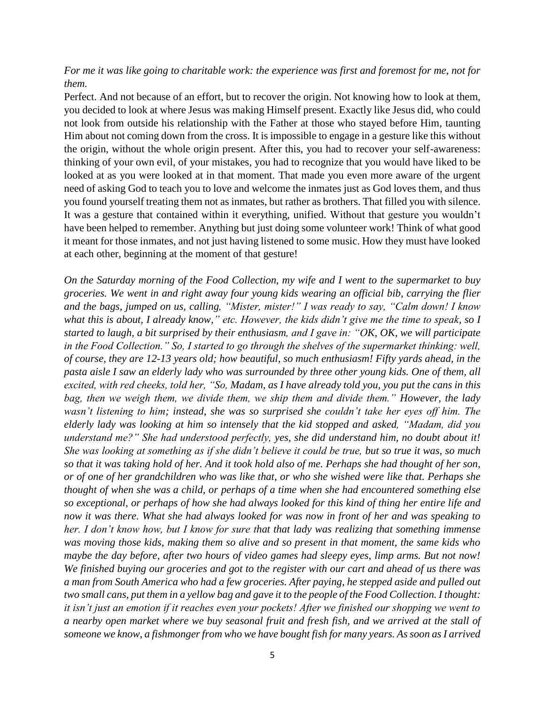## *For me it was like going to charitable work: the experience was first and foremost for me, not for them.*

Perfect. And not because of an effort, but to recover the origin. Not knowing how to look at them, you decided to look at where Jesus was making Himself present. Exactly like Jesus did, who could not look from outside his relationship with the Father at those who stayed before Him, taunting Him about not coming down from the cross. It is impossible to engage in a gesture like this without the origin, without the whole origin present. After this, you had to recover your self-awareness: thinking of your own evil, of your mistakes, you had to recognize that you would have liked to be looked at as you were looked at in that moment. That made you even more aware of the urgent need of asking God to teach you to love and welcome the inmates just as God loves them, and thus you found yourself treating them not as inmates, but rather as brothers. That filled you with silence. It was a gesture that contained within it everything, unified. Without that gesture you wouldn't have been helped to remember. Anything but just doing some volunteer work! Think of what good it meant for those inmates, and not just having listened to some music. How they must have looked at each other, beginning at the moment of that gesture!

*On the Saturday morning of the Food Collection, my wife and I went to the supermarket to buy groceries. We went in and right away four young kids wearing an official bib, carrying the flier and the bags, jumped on us, calling, "Mister, mister!" I was ready to say, "Calm down! I know what this is about, I already know," etc. However, the kids didn't give me the time to speak, so I started to laugh, a bit surprised by their enthusiasm, and I gave in: "OK, OK, we will participate in the Food Collection." So, I started to go through the shelves of the supermarket thinking: well, of course, they are 12-13 years old; how beautiful, so much enthusiasm! Fifty yards ahead, in the pasta aisle I saw an elderly lady who was surrounded by three other young kids. One of them, all excited, with red cheeks, told her, "So, Madam, as I have already told you, you put the cans in this bag, then we weigh them, we divide them, we ship them and divide them." However, the lady wasn't listening to him; instead, she was so surprised she couldn't take her eyes off him. The elderly lady was looking at him so intensely that the kid stopped and asked, "Madam, did you understand me?" She had understood perfectly, yes, she did understand him, no doubt about it! She was looking at something as if she didn't believe it could be true, but so true it was, so much so that it was taking hold of her. And it took hold also of me. Perhaps she had thought of her son, or of one of her grandchildren who was like that, or who she wished were like that. Perhaps she thought of when she was a child, or perhaps of a time when she had encountered something else so exceptional, or perhaps of how she had always looked for this kind of thing her entire life and now it was there. What she had always looked for was now in front of her and was speaking to her. I don't know how, but I know for sure that that lady was realizing that something immense was moving those kids, making them so alive and so present in that moment, the same kids who maybe the day before, after two hours of video games had sleepy eyes, limp arms. But not now! We finished buying our groceries and got to the register with our cart and ahead of us there was a man from South America who had a few groceries. After paying, he stepped aside and pulled out two small cans, put them in a yellow bag and gave it to the people of the Food Collection. I thought: it isn't just an emotion if it reaches even your pockets! After we finished our shopping we went to a nearby open market where we buy seasonal fruit and fresh fish, and we arrived at the stall of someone we know, a fishmonger from who we have bought fish for many years. As soon as I arrived*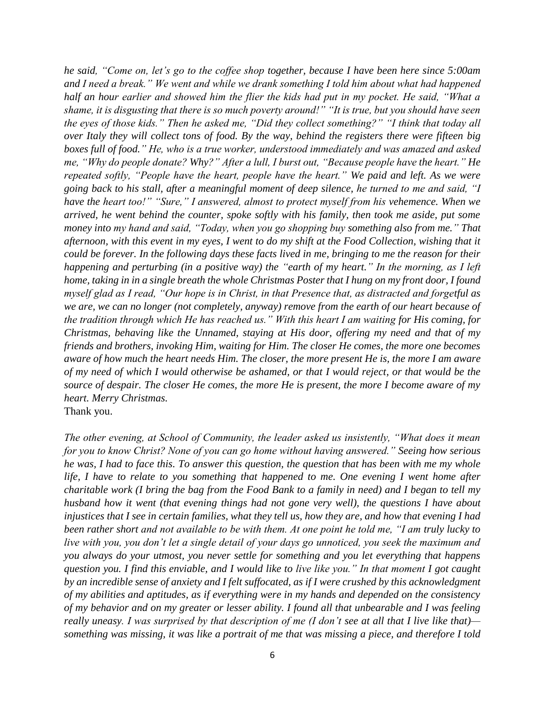*he said, "Come on, let's go to the coffee shop together, because I have been here since 5:00am and I need a break." We went and while we drank something I told him about what had happened half an hour earlier and showed him the flier the kids had put in my pocket. He said, "What a shame, it is disgusting that there is so much poverty around!" "It is true, but you should have seen the eyes of those kids." Then he asked me, "Did they collect something?" "I think that today all over Italy they will collect tons of food. By the way, behind the registers there were fifteen big boxes full of food." He, who is a true worker, understood immediately and was amazed and asked me, "Why do people donate? Why?" After a lull, I burst out, "Because people have the heart." He repeated softly, "People have the heart, people have the heart." We paid and left. As we were going back to his stall, after a meaningful moment of deep silence, he turned to me and said, "I have the heart too!" "Sure," I answered, almost to protect myself from his vehemence. When we arrived, he went behind the counter, spoke softly with his family, then took me aside, put some money into my hand and said, "Today, when you go shopping buy something also from me." That afternoon, with this event in my eyes, I went to do my shift at the Food Collection, wishing that it could be forever. In the following days these facts lived in me, bringing to me the reason for their happening and perturbing (in a positive way) the "earth of my heart." In the morning, as I left home, taking in in a single breath the whole Christmas Poster that I hung on my front door, I found myself glad as I read, "Our hope is in Christ, in that Presence that, as distracted and forgetful as we are, we can no longer (not completely, anyway) remove from the earth of our heart because of the tradition through which He has reached us." With this heart I am waiting for His coming, for Christmas, behaving like the Unnamed, staying at His door, offering my need and that of my friends and brothers, invoking Him, waiting for Him. The closer He comes, the more one becomes aware of how much the heart needs Him. The closer, the more present He is, the more I am aware of my need of which I would otherwise be ashamed, or that I would reject, or that would be the source of despair. The closer He comes, the more He is present, the more I become aware of my heart. Merry Christmas.*  Thank you.

*The other evening, at School of Community, the leader asked us insistently, "What does it mean for you to know Christ? None of you can go home without having answered." Seeing how serious he was, I had to face this. To answer this question, the question that has been with me my whole life, I have to relate to you something that happened to me. One evening I went home after charitable work (I bring the bag from the Food Bank to a family in need) and I began to tell my husband how it went (that evening things had not gone very well), the questions I have about injustices that I see in certain families, what they tell us, how they are, and how that evening I had been rather short and not available to be with them. At one point he told me, "I am truly lucky to live with you, you don't let a single detail of your days go unnoticed, you seek the maximum and you always do your utmost, you never settle for something and you let everything that happens question you. I find this enviable, and I would like to live like you." In that moment I got caught by an incredible sense of anxiety and I felt suffocated, as if I were crushed by this acknowledgment of my abilities and aptitudes, as if everything were in my hands and depended on the consistency of my behavior and on my greater or lesser ability. I found all that unbearable and I was feeling really uneasy. I was surprised by that description of me (I don't see at all that I live like that) something was missing, it was like a portrait of me that was missing a piece, and therefore I told*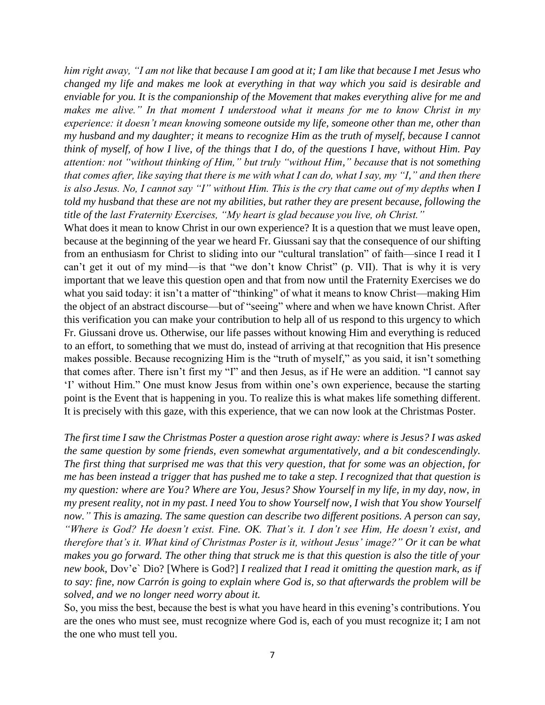*him right away, "I am not like that because I am good at it; I am like that because I met Jesus who changed my life and makes me look at everything in that way which you said is desirable and enviable for you. It is the companionship of the Movement that makes everything alive for me and makes me alive." In that moment I understood what it means for me to know Christ in my experience: it doesn't mean knowing someone outside my life, someone other than me, other than my husband and my daughter; it means to recognize Him as the truth of myself, because I cannot think of myself, of how I live, of the things that I do, of the questions I have, without Him. Pay attention: not "without thinking of Him," but truly "without Him," because that is not something that comes after, like saying that there is me with what I can do, what I say, my "I," and then there is also Jesus. No, I cannot say "I" without Him. This is the cry that came out of my depths when I told my husband that these are not my abilities, but rather they are present because, following the title of the last Fraternity Exercises, "My heart is glad because you live, oh Christ."*

What does it mean to know Christ in our own experience? It is a question that we must leave open, because at the beginning of the year we heard Fr. Giussani say that the consequence of our shifting from an enthusiasm for Christ to sliding into our "cultural translation" of faith—since I read it I can't get it out of my mind—is that "we don't know Christ" (p. VII). That is why it is very important that we leave this question open and that from now until the Fraternity Exercises we do what you said today: it isn't a matter of "thinking" of what it means to know Christ—making Him the object of an abstract discourse—but of "seeing" where and when we have known Christ. After this verification you can make your contribution to help all of us respond to this urgency to which Fr. Giussani drove us. Otherwise, our life passes without knowing Him and everything is reduced to an effort, to something that we must do, instead of arriving at that recognition that His presence makes possible. Because recognizing Him is the "truth of myself," as you said, it isn't something that comes after. There isn't first my "I" and then Jesus, as if He were an addition. "I cannot say 'I' without Him." One must know Jesus from within one's own experience, because the starting point is the Event that is happening in you. To realize this is what makes life something different. It is precisely with this gaze, with this experience, that we can now look at the Christmas Poster.

*The first time I saw the Christmas Poster a question arose right away: where is Jesus? I was asked the same question by some friends, even somewhat argumentatively, and a bit condescendingly. The first thing that surprised me was that this very question, that for some was an objection, for me has been instead a trigger that has pushed me to take a step. I recognized that that question is my question: where are You? Where are You, Jesus? Show Yourself in my life, in my day, now, in my present reality, not in my past. I need You to show Yourself now, I wish that You show Yourself now." This is amazing. The same question can describe two different positions. A person can say, "Where is God? He doesn't exist. Fine. OK. That's it. I don't see Him, He doesn't exist, and therefore that's it. What kind of Christmas Poster is it, without Jesus' image?" Or it can be what makes you go forward. The other thing that struck me is that this question is also the title of your new book,* Dov'e` Dio? [Where is God?] *I realized that I read it omitting the question mark, as if to say: fine, now Carrón is going to explain where God is, so that afterwards the problem will be solved, and we no longer need worry about it.*

So, you miss the best, because the best is what you have heard in this evening's contributions. You are the ones who must see, must recognize where God is, each of you must recognize it; I am not the one who must tell you.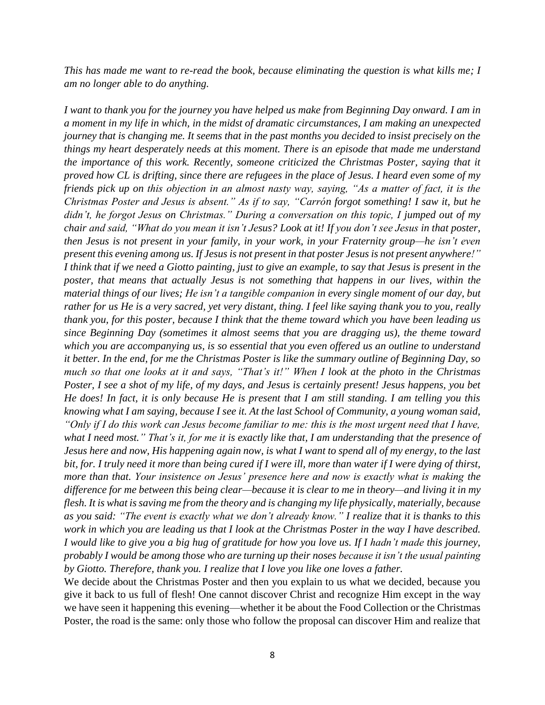*This has made me want to re-read the book, because eliminating the question is what kills me; I am no longer able to do anything.*

*I want to thank you for the journey you have helped us make from Beginning Day onward. I am in a moment in my life in which, in the midst of dramatic circumstances, I am making an unexpected journey that is changing me. It seems that in the past months you decided to insist precisely on the things my heart desperately needs at this moment. There is an episode that made me understand the importance of this work. Recently, someone criticized the Christmas Poster, saying that it proved how CL is drifting, since there are refugees in the place of Jesus. I heard even some of my friends pick up on this objection in an almost nasty way, saying, "As a matter of fact, it is the Christmas Poster and Jesus is absent." As if to say, "Carrón forgot something! I saw it, but he didn't, he forgot Jesus on Christmas." During a conversation on this topic, I jumped out of my chair and said, "What do you mean it isn't Jesus? Look at it! If you don't see Jesus in that poster, then Jesus is not present in your family, in your work, in your Fraternity group—he isn't even present this evening among us. If Jesus is not present in that poster Jesus is not present anywhere!" I think that if we need a Giotto painting, just to give an example, to say that Jesus is present in the poster, that means that actually Jesus is not something that happens in our lives, within the material things of our lives; He isn't a tangible companion in every single moment of our day, but rather for us He is a very sacred, yet very distant, thing. I feel like saying thank you to you, really thank you, for this poster, because I think that the theme toward which you have been leading us since Beginning Day (sometimes it almost seems that you are dragging us), the theme toward which you are accompanying us, is so essential that you even offered us an outline to understand it better. In the end, for me the Christmas Poster is like the summary outline of Beginning Day, so much so that one looks at it and says, "That's it!" When I look at the photo in the Christmas Poster, I see a shot of my life, of my days, and Jesus is certainly present! Jesus happens, you bet He does! In fact, it is only because He is present that I am still standing. I am telling you this knowing what I am saying, because I see it. At the last School of Community, a young woman said, "Only if I do this work can Jesus become familiar to me: this is the most urgent need that I have, what I need most." That's it, for me it is exactly like that, I am understanding that the presence of Jesus here and now, His happening again now, is what I want to spend all of my energy, to the last bit, for. I truly need it more than being cured if I were ill, more than water if I were dying of thirst, more than that. Your insistence on Jesus' presence here and now is exactly what is making the difference for me between this being clear—because it is clear to me in theory—and living it in my flesh. It is what is saving me from the theory and is changing my life physically, materially, because as you said: "The event is exactly what we don't already know." I realize that it is thanks to this work in which you are leading us that I look at the Christmas Poster in the way I have described. I would like to give you a big hug of gratitude for how you love us. If I hadn't made this journey, probably I would be among those who are turning up their noses because it isn't the usual painting by Giotto. Therefore, thank you. I realize that I love you like one loves a father.*

We decide about the Christmas Poster and then you explain to us what we decided, because you give it back to us full of flesh! One cannot discover Christ and recognize Him except in the way we have seen it happening this evening—whether it be about the Food Collection or the Christmas Poster, the road is the same: only those who follow the proposal can discover Him and realize that